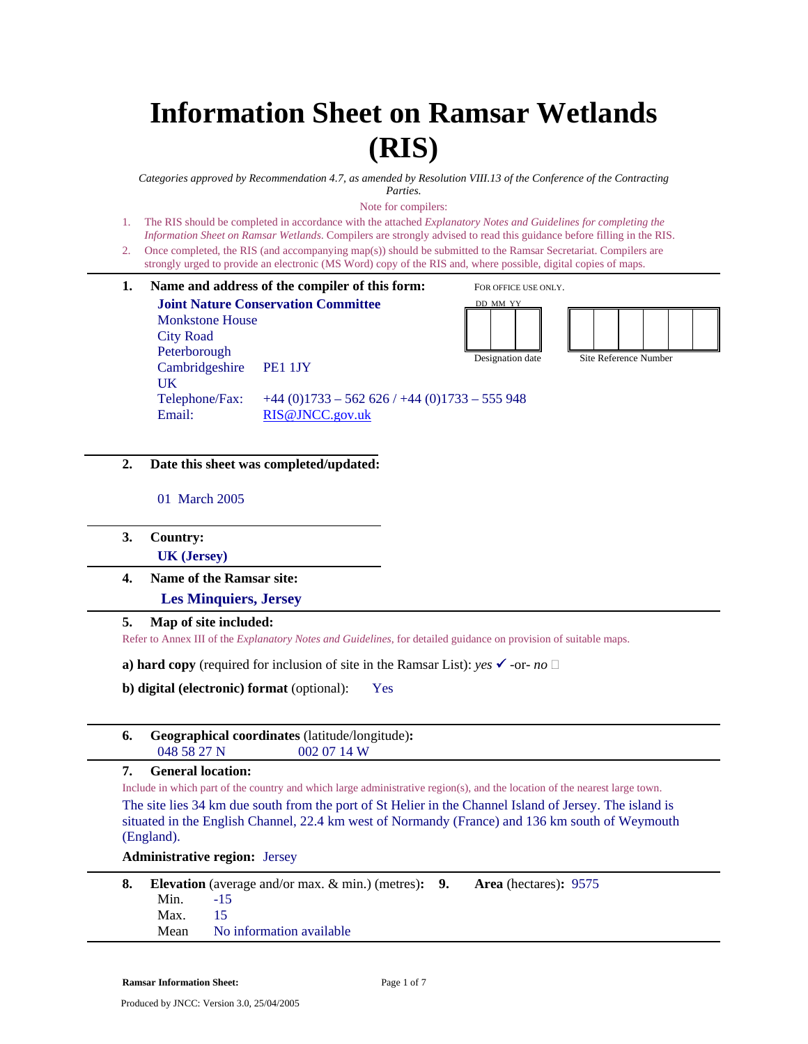# **Information Sheet on Ramsar Wetlands (RIS)**

*Categories approved by Recommendation 4.7, as amended by Resolution VIII.13 of the Conference of the Contracting Parties.* 

Note for compilers:

- 1. The RIS should be completed in accordance with the attached *Explanatory Notes and Guidelines for completing the Information Sheet on Ramsar Wetlands*. Compilers are strongly advised to read this guidance before filling in the RIS.
- 2. Once completed, the RIS (and accompanying map(s)) should be submitted to the Ramsar Secretariat. Compilers are strongly urged to provide an electronic (MS Word) copy of the RIS and, where possible, digital copies of maps.
- **1. Name and address of the compiler of this form: Joint Nature Conservation Committee**  Monkstone House City Road Peterborough Cambridgeshire PE1 1JY UK Telephone/Fax:  $+44 (0)1733 - 562 626 / +44 (0)1733 - 555 948$ Email: RIS@JNCC.gov.uk FOR OFFICE USE ONLY. DD MM YY Designation date Site Reference Number
- **2. Date this sheet was completed/updated:**

01 March 2005

- **3. Country: UK (Jersey)**
- **4. Name of the Ramsar site:**

 **Les Minquiers, Jersey** 

# **5. Map of site included:**

Refer to Annex III of the *Explanatory Notes and Guidelines*, for detailed guidance on provision of suitable maps.

**a) hard copy** (required for inclusion of site in the Ramsar List): *yes*  $\checkmark$  -or- *no*  $\Box$ 

**b) digital (electronic) format** (optional): Yes

|             | <b>Geographical coordinates</b> (latitude/longitude): |
|-------------|-------------------------------------------------------|
| 048 58 27 N | 0020714W                                              |

## **7. General location:**

Include in which part of the country and which large administrative region(s), and the location of the nearest large town. The site lies 34 km due south from the port of St Helier in the Channel Island of Jersey. The island is situated in the English Channel, 22.4 km west of Normandy (France) and 136 km south of Weymouth (England).

**Administrative region:** Jersey

|            | <b>Elevation</b> (average and/or max. $\&$ min.) (metres): 9. | <b>Area</b> (hectares): 9575 |
|------------|---------------------------------------------------------------|------------------------------|
| Min. $-15$ |                                                               |                              |
| Max.       | -15                                                           |                              |
| Mean       | No information available                                      |                              |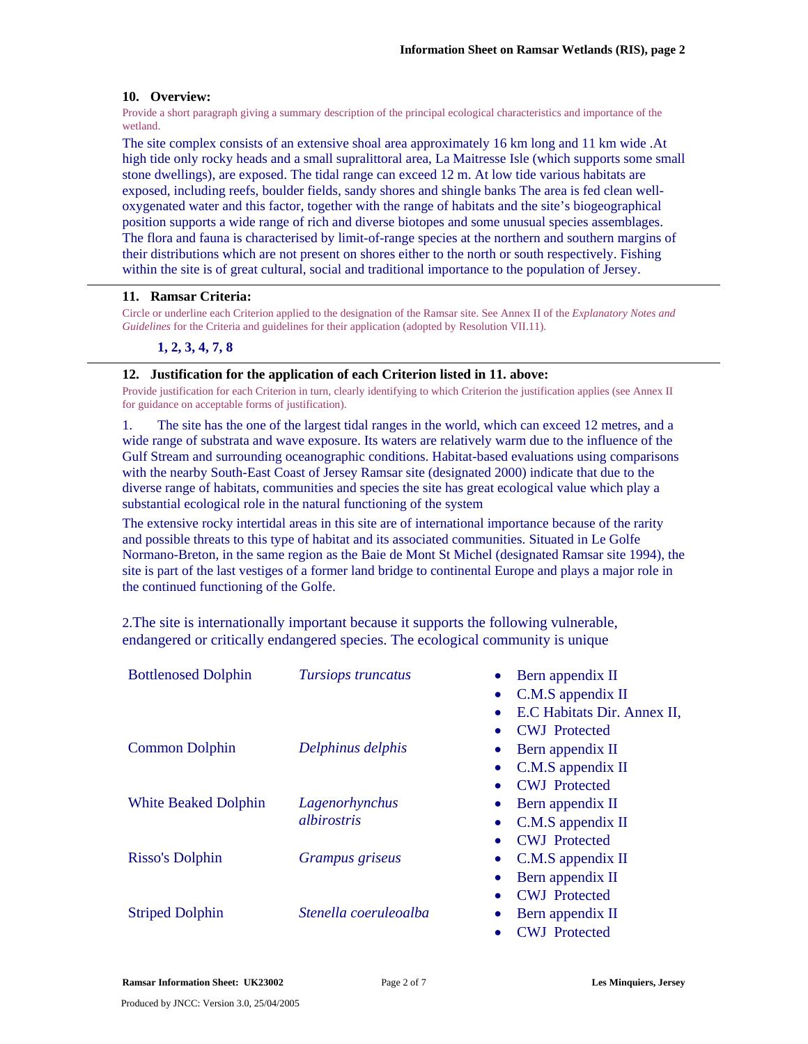# **10. Overview:**

Provide a short paragraph giving a summary description of the principal ecological characteristics and importance of the wetland.

The site complex consists of an extensive shoal area approximately 16 km long and 11 km wide .At high tide only rocky heads and a small supralittoral area, La Maitresse Isle (which supports some small stone dwellings), are exposed. The tidal range can exceed 12 m. At low tide various habitats are exposed, including reefs, boulder fields, sandy shores and shingle banks The area is fed clean welloxygenated water and this factor, together with the range of habitats and the site's biogeographical position supports a wide range of rich and diverse biotopes and some unusual species assemblages. The flora and fauna is characterised by limit-of-range species at the northern and southern margins of their distributions which are not present on shores either to the north or south respectively. Fishing within the site is of great cultural, social and traditional importance to the population of Jersey.

## **11. Ramsar Criteria:**

Circle or underline each Criterion applied to the designation of the Ramsar site. See Annex II of the *Explanatory Notes and Guidelines* for the Criteria and guidelines for their application (adopted by Resolution VII.11).

# **1, 2, 3, 4, 7, 8**

## **12. Justification for the application of each Criterion listed in 11. above:**

Provide justification for each Criterion in turn, clearly identifying to which Criterion the justification applies (see Annex II for guidance on acceptable forms of justification).

1. The site has the one of the largest tidal ranges in the world, which can exceed 12 metres, and a wide range of substrata and wave exposure. Its waters are relatively warm due to the influence of the Gulf Stream and surrounding oceanographic conditions. Habitat-based evaluations using comparisons with the nearby South-East Coast of Jersey Ramsar site (designated 2000) indicate that due to the diverse range of habitats, communities and species the site has great ecological value which play a substantial ecological role in the natural functioning of the system

The extensive rocky intertidal areas in this site are of international importance because of the rarity and possible threats to this type of habitat and its associated communities. Situated in Le Golfe Normano-Breton, in the same region as the Baie de Mont St Michel (designated Ramsar site 1994), the site is part of the last vestiges of a former land bridge to continental Europe and plays a major role in the continued functioning of the Golfe.

2.The site is internationally important because it supports the following vulnerable, endangered or critically endangered species. The ecological community is unique

| <b>Bottlenosed Dolphin</b>  | Tursiops truncatus    | Bern appendix II                  |
|-----------------------------|-----------------------|-----------------------------------|
|                             |                       | C.M.S appendix II<br>$\bullet$    |
|                             |                       | E.C Habitats Dir. Annex II,       |
|                             |                       | <b>CWJ</b> Protected              |
| <b>Common Dolphin</b>       | Delphinus delphis     | Bern appendix II                  |
|                             |                       | C.M.S appendix II                 |
|                             |                       | <b>CWJ</b> Protected              |
| <b>White Beaked Dolphin</b> | Lagenorhynchus        | Bern appendix II                  |
|                             | albirostris           | C.M.S appendix II                 |
|                             |                       | <b>CWJ</b> Protected<br>$\bullet$ |
| Risso's Dolphin             | Grampus griseus       | C.M.S appendix II                 |
|                             |                       | Bern appendix II                  |
|                             |                       | <b>CWJ</b> Protected              |
| <b>Striped Dolphin</b>      | Stenella coeruleoalba | Bern appendix II                  |
|                             |                       | <b>CWJ</b> Protected              |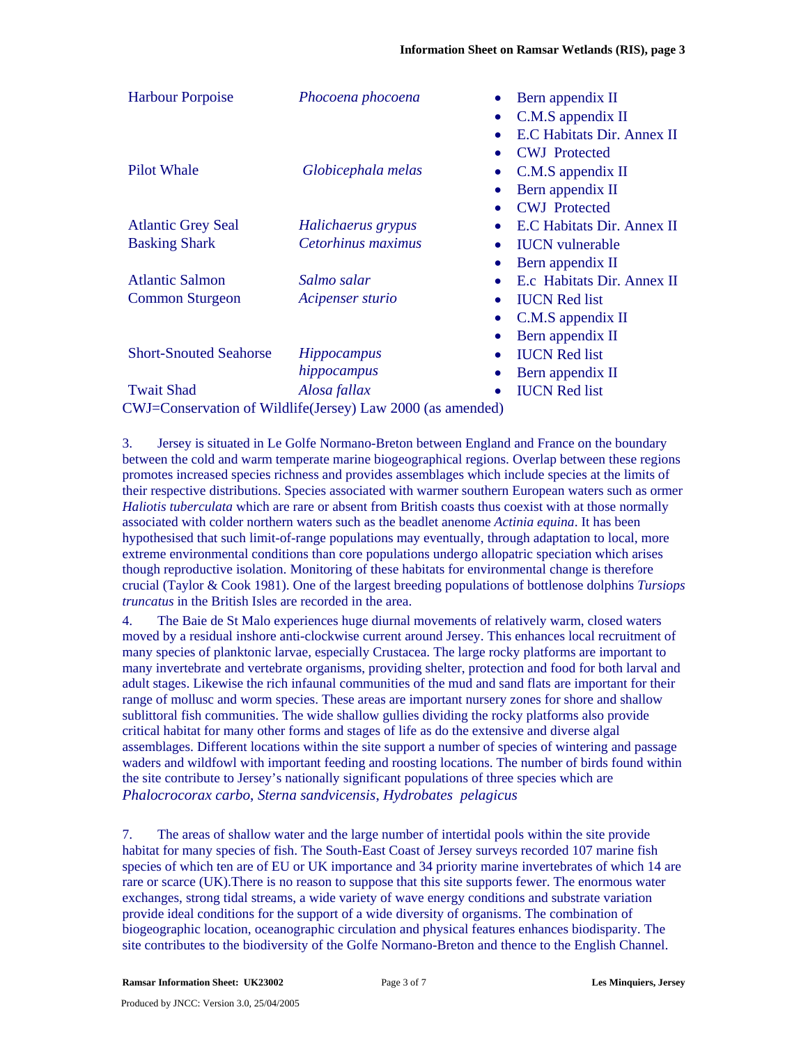| <b>Harbour Porpoise</b>       | Phocoena phocoena                                          | Bern appendix II<br>$C.M.S$ appendix $II$<br>E.C Habitats Dir. Annex II |
|-------------------------------|------------------------------------------------------------|-------------------------------------------------------------------------|
| <b>Pilot Whale</b>            | Globicephala melas                                         | <b>CWJ</b> Protected<br>C.M.S appendix II                               |
|                               |                                                            | Bern appendix II                                                        |
|                               | $\bullet$                                                  | <b>CWJ</b> Protected                                                    |
| <b>Atlantic Grey Seal</b>     | Halichaerus grypus<br>$\bullet$                            | E.C Habitats Dir. Annex II                                              |
| <b>Basking Shark</b>          | Cetorhinus maximus<br>$\bullet$                            | <b>IUCN</b> vulnerable                                                  |
|                               |                                                            | Bern appendix II                                                        |
| <b>Atlantic Salmon</b>        | Salmo salar                                                | E.c Habitats Dir. Annex II                                              |
| <b>Common Sturgeon</b>        | Acipenser sturio<br>$\bullet$                              | <b>IUCN</b> Red list                                                    |
|                               |                                                            | C.M.S appendix II                                                       |
|                               |                                                            | Bern appendix II                                                        |
| <b>Short-Snouted Seahorse</b> | <i>Hippocampus</i><br>$\bullet$                            | <b>IUCN</b> Red list                                                    |
|                               | hippocampus                                                | Bern appendix II                                                        |
| <b>Twait Shad</b>             | Alosa fallax                                               | <b>IUCN</b> Red list                                                    |
|                               | CWJ=Conservation of Wildlife(Jersey) Law 2000 (as amended) |                                                                         |

3. Jersey is situated in Le Golfe Normano-Breton between England and France on the boundary between the cold and warm temperate marine biogeographical regions. Overlap between these regions promotes increased species richness and provides assemblages which include species at the limits of their respective distributions. Species associated with warmer southern European waters such as ormer *Haliotis tuberculata* which are rare or absent from British coasts thus coexist with at those normally associated with colder northern waters such as the beadlet anenome *Actinia equina*. It has been hypothesised that such limit-of-range populations may eventually, through adaptation to local, more extreme environmental conditions than core populations undergo allopatric speciation which arises though reproductive isolation. Monitoring of these habitats for environmental change is therefore crucial (Taylor & Cook 1981). One of the largest breeding populations of bottlenose dolphins *Tursiops truncatus* in the British Isles are recorded in the area.

4. The Baie de St Malo experiences huge diurnal movements of relatively warm, closed waters moved by a residual inshore anti-clockwise current around Jersey. This enhances local recruitment of many species of planktonic larvae, especially Crustacea. The large rocky platforms are important to many invertebrate and vertebrate organisms, providing shelter, protection and food for both larval and adult stages. Likewise the rich infaunal communities of the mud and sand flats are important for their range of mollusc and worm species. These areas are important nursery zones for shore and shallow sublittoral fish communities. The wide shallow gullies dividing the rocky platforms also provide critical habitat for many other forms and stages of life as do the extensive and diverse algal assemblages. Different locations within the site support a number of species of wintering and passage waders and wildfowl with important feeding and roosting locations. The number of birds found within the site contribute to Jersey's nationally significant populations of three species which are *Phalocrocorax carbo*, *Sterna sandvicensis*, *Hydrobates pelagicus*

7. The areas of shallow water and the large number of intertidal pools within the site provide habitat for many species of fish. The South-East Coast of Jersey surveys recorded 107 marine fish species of which ten are of EU or UK importance and 34 priority marine invertebrates of which 14 are rare or scarce (UK).There is no reason to suppose that this site supports fewer. The enormous water exchanges, strong tidal streams, a wide variety of wave energy conditions and substrate variation provide ideal conditions for the support of a wide diversity of organisms. The combination of biogeographic location, oceanographic circulation and physical features enhances biodisparity. The site contributes to the biodiversity of the Golfe Normano-Breton and thence to the English Channel.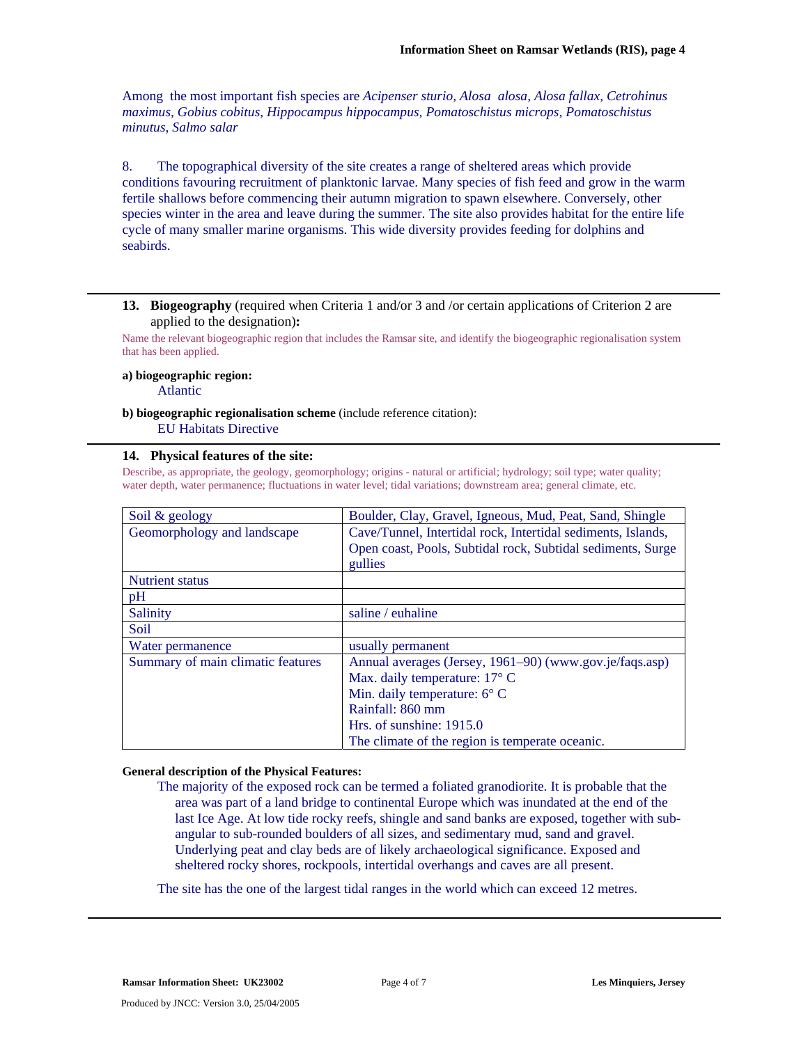Among the most important fish species are *Acipenser sturio, Alosa alosa, Alosa fallax, Cetrohinus maximus, Gobius cobitus, Hippocampus hippocampus, Pomatoschistus microps, Pomatoschistus minutus, Salmo salar* 

8. The topographical diversity of the site creates a range of sheltered areas which provide conditions favouring recruitment of planktonic larvae. Many species of fish feed and grow in the warm fertile shallows before commencing their autumn migration to spawn elsewhere. Conversely, other species winter in the area and leave during the summer. The site also provides habitat for the entire life cycle of many smaller marine organisms. This wide diversity provides feeding for dolphins and seabirds.

## **13. Biogeography** (required when Criteria 1 and/or 3 and /or certain applications of Criterion 2 are applied to the designation)**:**

Name the relevant biogeographic region that includes the Ramsar site, and identify the biogeographic regionalisation system that has been applied.

#### **a) biogeographic region:**

Atlantic

# **b) biogeographic regionalisation scheme** (include reference citation): EU Habitats Directive

## **14. Physical features of the site:**

Describe, as appropriate, the geology, geomorphology; origins - natural or artificial; hydrology; soil type; water quality; water depth, water permanence; fluctuations in water level; tidal variations; downstream area; general climate, etc.

| Soil & geology                    | Boulder, Clay, Gravel, Igneous, Mud, Peat, Sand, Shingle     |  |
|-----------------------------------|--------------------------------------------------------------|--|
| Geomorphology and landscape       | Cave/Tunnel, Intertidal rock, Intertidal sediments, Islands, |  |
|                                   | Open coast, Pools, Subtidal rock, Subtidal sediments, Surge  |  |
|                                   | gullies                                                      |  |
| <b>Nutrient</b> status            |                                                              |  |
| pH                                |                                                              |  |
| Salinity                          | saline / euhaline                                            |  |
| Soil                              |                                                              |  |
| Water permanence                  | usually permanent                                            |  |
| Summary of main climatic features | Annual averages (Jersey, 1961-90) (www.gov.je/faqs.asp)      |  |
|                                   | Max. daily temperature: $17^{\circ}$ C                       |  |
|                                   | Min. daily temperature: $6^{\circ}$ C                        |  |
|                                   | Rainfall: 860 mm                                             |  |
|                                   | Hrs. of sunshine: $1915.0$                                   |  |
|                                   | The climate of the region is temperate oceanic.              |  |

## **General description of the Physical Features:**

The majority of the exposed rock can be termed a foliated granodiorite. It is probable that the area was part of a land bridge to continental Europe which was inundated at the end of the last Ice Age. At low tide rocky reefs, shingle and sand banks are exposed, together with subangular to sub-rounded boulders of all sizes, and sedimentary mud, sand and gravel. Underlying peat and clay beds are of likely archaeological significance. Exposed and sheltered rocky shores, rockpools, intertidal overhangs and caves are all present.

The site has the one of the largest tidal ranges in the world which can exceed 12 metres.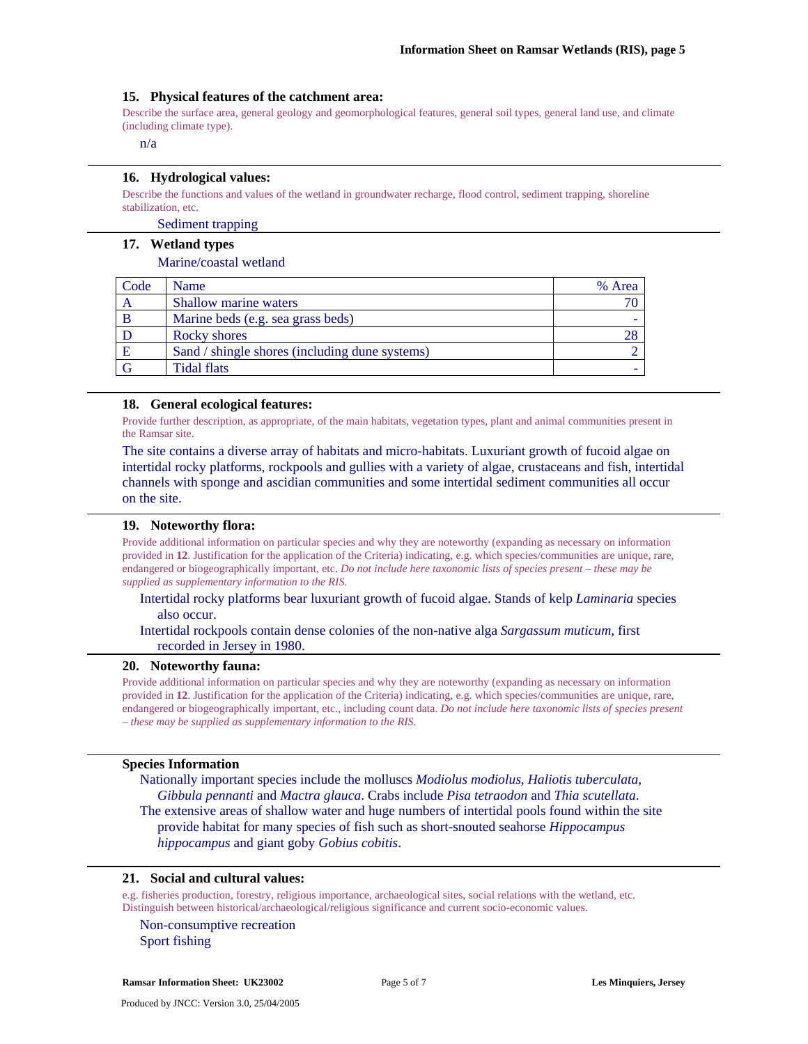## **15. Physical features of the catchment area:**

Describe the surface area, general geology and geomorphological features, general soil types, general land use, and climate (including climate type).

n/a

#### **16. Hydrological values:**

Describe the functions and values of the wetland in groundwater recharge, flood control, sediment trapping, shoreline stabilization, etc.

Sediment trapping

## **17. Wetland types**

#### Marine/coastal wetland

| Code | Name                                           | % Area |
|------|------------------------------------------------|--------|
| A    | Shallow marine waters                          |        |
|      | Marine beds (e.g. sea grass beds)              |        |
|      | Rocky shores                                   |        |
| E    | Sand / shingle shores (including dune systems) |        |
| G    | <b>Tidal flats</b>                             |        |

## **18. General ecological features:**

Provide further description, as appropriate, of the main habitats, vegetation types, plant and animal communities present in the Ramsar site.

The site contains a diverse array of habitats and micro-habitats. Luxuriant growth of fucoid algae on intertidal rocky platforms, rockpools and gullies with a variety of algae, crustaceans and fish, intertidal channels with sponge and ascidian communities and some intertidal sediment communities all occur on the site.

## **19. Noteworthy flora:**

Provide additional information on particular species and why they are noteworthy (expanding as necessary on information provided in **12**. Justification for the application of the Criteria) indicating, e.g. which species/communities are unique, rare, endangered or biogeographically important, etc. *Do not include here taxonomic lists of species present – these may be supplied as supplementary information to the RIS.* 

# Intertidal rocky platforms bear luxuriant growth of fucoid algae. Stands of kelp *Laminaria* species also occur.

# Intertidal rockpools contain dense colonies of the non-native alga *Sargassum muticum*, first recorded in Jersey in 1980.

#### **20. Noteworthy fauna:**

Provide additional information on particular species and why they are noteworthy (expanding as necessary on information provided in **12**. Justification for the application of the Criteria) indicating, e.g. which species/communities are unique, rare, endangered or biogeographically important, etc., including count data. *Do not include here taxonomic lists of species present – these may be supplied as supplementary information to the RIS.* 

# **Species Information**

Nationally important species include the molluscs *Modiolus modiolus*, *Haliotis tuberculata*, *Gibbula pennanti* and *Mactra glauca*. Crabs include *Pisa tetraodon* and *Thia scutellata*. The extensive areas of shallow water and huge numbers of intertidal pools found within the site provide habitat for many species of fish such as short-snouted seahorse *Hippocampus* 

*hippocampus* and giant goby *Gobius cobitis*.

## **21. Social and cultural values:**

e.g. fisheries production, forestry, religious importance, archaeological sites, social relations with the wetland, etc. Distinguish between historical/archaeological/religious significance and current socio-economic values.

Non-consumptive recreation Sport fishing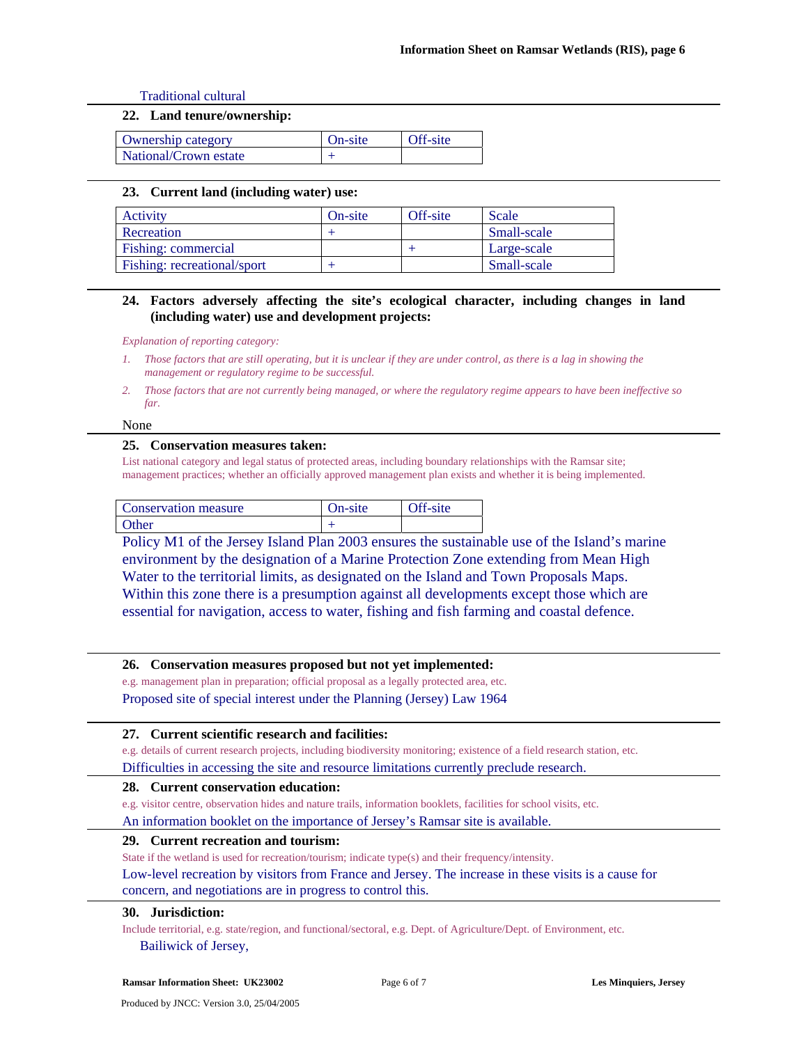Traditional cultural

## **22. Land tenure/ownership:**

| <b>Ownership category</b> | On-site | Off-site |
|---------------------------|---------|----------|
| National/Crown estate     |         |          |

## **23. Current land (including water) use:**

| Activity                    | On-site | Off-site | Scale       |
|-----------------------------|---------|----------|-------------|
| Recreation                  |         |          | Small-scale |
| Fishing: commercial         |         |          | Large-scale |
| Fishing: recreational/sport |         |          | Small-scale |

# **24. Factors adversely affecting the site's ecological character, including changes in land (including water) use and development projects:**

*Explanation of reporting category:* 

- *1. Those factors that are still operating, but it is unclear if they are under control, as there is a lag in showing the management or regulatory regime to be successful.*
- *2. Those factors that are not currently being managed, or where the regulatory regime appears to have been ineffective so far.*

#### None

## **25. Conservation measures taken:**

List national category and legal status of protected areas, including boundary relationships with the Ramsar site; management practices; whether an officially approved management plan exists and whether it is being implemented.

| Conservation measure | On-site | Off-site |
|----------------------|---------|----------|
| Other                |         |          |

Policy M1 of the Jersey Island Plan 2003 ensures the sustainable use of the Island's marine environment by the designation of a Marine Protection Zone extending from Mean High Water to the territorial limits, as designated on the Island and Town Proposals Maps. Within this zone there is a presumption against all developments except those which are essential for navigation, access to water, fishing and fish farming and coastal defence.

## **26. Conservation measures proposed but not yet implemented:**

e.g. management plan in preparation; official proposal as a legally protected area, etc. Proposed site of special interest under the Planning (Jersey) Law 1964

## **27. Current scientific research and facilities:**

e.g. details of current research projects, including biodiversity monitoring; existence of a field research station, etc.

Difficulties in accessing the site and resource limitations currently preclude research.

## **28. Current conservation education:**

e.g. visitor centre, observation hides and nature trails, information booklets, facilities for school visits, etc.

An information booklet on the importance of Jersey's Ramsar site is available.

## **29. Current recreation and tourism:**

State if the wetland is used for recreation/tourism; indicate type(s) and their frequency/intensity.

Low-level recreation by visitors from France and Jersey. The increase in these visits is a cause for concern, and negotiations are in progress to control this.

# **30. Jurisdiction:**

Include territorial, e.g. state/region, and functional/sectoral, e.g. Dept. of Agriculture/Dept. of Environment, etc. Bailiwick of Jersey,